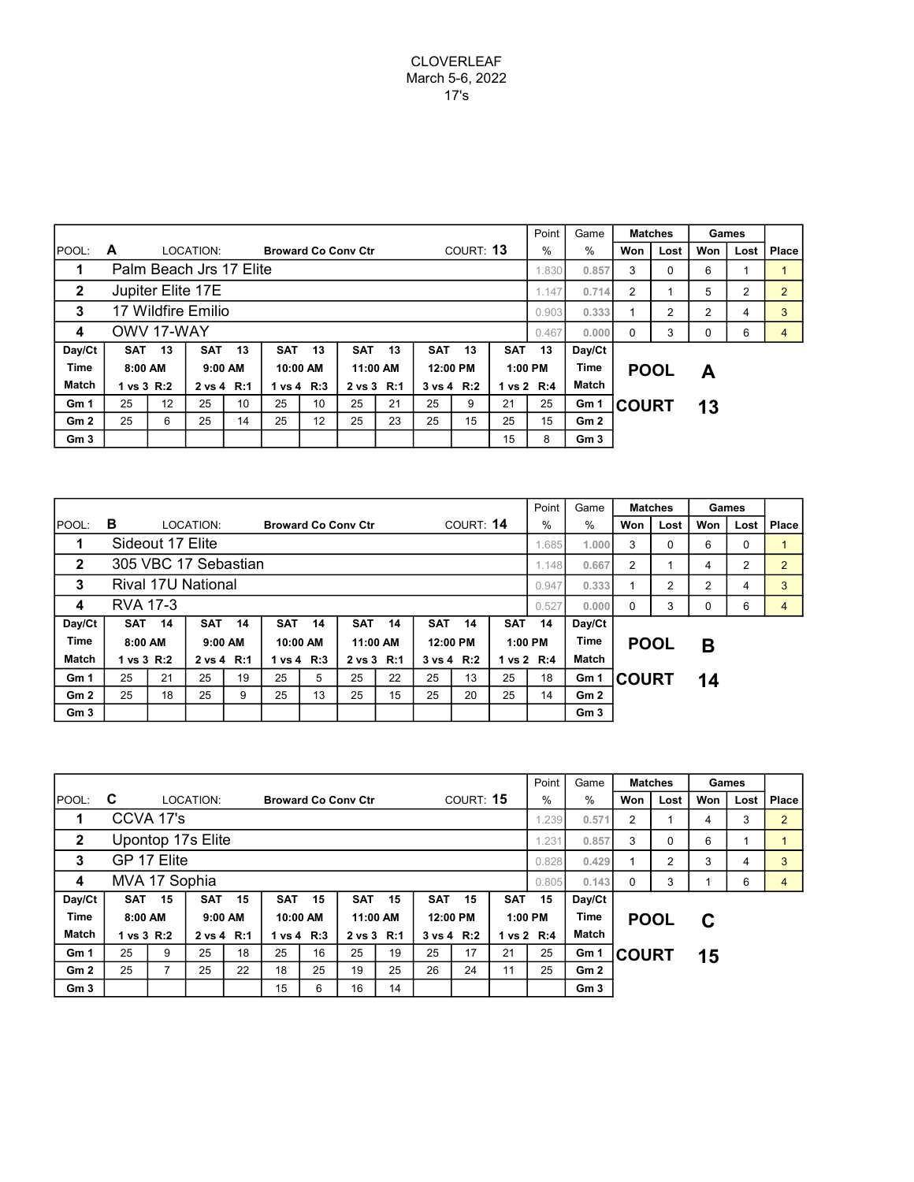|                 |                                  |                          |                    |         |            |          |                            |          |            |                |            | Point          | Game            | <b>Matches</b>    |      | Games |      |       |
|-----------------|----------------------------------|--------------------------|--------------------|---------|------------|----------|----------------------------|----------|------------|----------------|------------|----------------|-----------------|-------------------|------|-------|------|-------|
| <b>IPOOL:</b>   | A                                |                          | LOCATION:          |         |            |          | <b>Broward Co Conv Ctr</b> |          | COURT: 13  |                |            |                | $\%$            | Won               | Lost | Won   | Lost | Place |
| 1               | Palm Beach Jrs 17 Elite<br>1.830 |                          |                    |         |            |          |                            |          |            |                |            |                |                 | 3                 | 0    | 6     |      |       |
| $\overline{2}$  |                                  |                          | Jupiter Elite 17E  |         |            | 1.147    | 0.714                      | 2        |            | 5              | 2          | $\overline{2}$ |                 |                   |      |       |      |       |
| 3               |                                  |                          | 17 Wildfire Emilio |         |            | 0.903    | 0.333                      |          | 2          | $\overline{2}$ | 4          | 3              |                 |                   |      |       |      |       |
| 4               | OWV 17-WAY                       |                          |                    |         |            |          |                            |          |            |                |            |                |                 | 0.000<br>$\Omega$ | 3    | 0     | 6    | 4     |
| Day/Ct          | <b>SAT</b>                       | 13                       | <b>SAT</b>         | 13      | <b>SAT</b> | 13       | <b>SAT</b>                 | 13       | <b>SAT</b> | 13             | <b>SAT</b> | 13             | Day/Ct          |                   |      |       |      |       |
| <b>Time</b>     | 8:00 AM                          |                          |                    | 9:00 AM |            | 10:00 AM |                            | 11:00 AM |            | 12:00 PM       |            | 1:00 PM        | Time            | <b>POOL</b>       |      | А     |      |       |
| <b>Match</b>    |                                  | 1 vs 3 R:2<br>2 vs 4 R:1 |                    |         | 1 vs 4 R:3 |          | 2 vs 3 R:1                 |          |            | 3 vs 4 R:2     |            | 1 vs 2 R:4     |                 |                   |      |       |      |       |
| Gm 1            | 25                               | $12 \overline{ }$        | 25                 | 10      | 25         | 10       | 25                         | 21       | 25         | 9              | 21         | 25             | Gm 1            | <b>ICOURT</b>     |      | 13    |      |       |
| Gm2             | 25                               | 6                        | 25                 | 14      | 25         | 12       | 25                         | 23       | 25         | 15             | 25         | 15             | Gm 2            |                   |      |       |      |       |
| Gm <sub>3</sub> |                                  |                          |                    |         |            |          |                            |          |            |                | 15         | 8              | Gm <sub>3</sub> |                   |      |       |      |       |

|                 |                             |                          |                      |    |            |          |                            |                |            |           |            | Point          | Game                 |             | <b>Matches</b> | Games    |      |              |
|-----------------|-----------------------------|--------------------------|----------------------|----|------------|----------|----------------------------|----------------|------------|-----------|------------|----------------|----------------------|-------------|----------------|----------|------|--------------|
| <b>IPOOL:</b>   | в                           |                          | LOCATION:            |    |            |          | <b>Broward Co Conv Ctr</b> |                |            | COURT: 14 |            | %              | $\%$                 | Won         | Lost           | Won      | Lost | <b>Place</b> |
| 1               | Sideout 17 Elite            |                          |                      |    |            |          |                            |                |            |           |            |                |                      | 3<br>1.000  | 0              | 6        | 0    |              |
| $\mathbf{2}$    |                             |                          | 305 VBC 17 Sebastian |    |            | 1.148    | 0.667                      | $\overline{2}$ |            | 4         | 2          | $\overline{2}$ |                      |             |                |          |      |              |
| 3               | Rival 17U National<br>0.947 |                          |                      |    |            |          |                            |                |            |           |            |                |                      | 0.333       | 2              | 2        | 4    | 3            |
| 4               | <b>RVA 17-3</b>             |                          |                      |    |            |          |                            |                |            |           |            |                | 0.000                | $\Omega$    | 3              | $\Omega$ | 6    | 4            |
| Day/Ct          | <b>SAT</b>                  | 14                       | <b>SAT</b>           | 14 | <b>SAT</b> | 14       | <b>SAT</b>                 | 14             | <b>SAT</b> | 14        | <b>SAT</b> | 14             | Day/Ct               |             |                |          |      |              |
| <b>Time</b>     | 8:00 AM                     |                          | 9:00 AM              |    |            | 10:00 AM |                            | 11:00 AM       | 12:00 PM   |           |            | 1:00 PM        | Time                 | <b>POOL</b> |                | Β        |      |              |
| <b>Match</b>    |                             | 2 vs 4 R:1<br>1 vs 3 R:2 |                      |    | 1 vs 4 R:3 |          | 2 vs 3 R:1                 |                | 3 vs 4 R:2 |           | 1 vs 2 R:4 |                | Match                |             |                |          |      |              |
| Gm <sub>1</sub> | 25                          | 21                       | 25                   | 19 | 25         | 5        | 25                         | 22             | 25         | 13        | 25         | 18             | <b>COURT</b><br>Gm 1 |             | 14             |          |      |              |
| Gm2             | 25                          | 18                       | 25                   | 9  | 25         | 13       | 25                         | 15             | 25         | 20        | 25         | 14             | Gm <sub>2</sub>      |             |                |          |      |              |
| Gm <sub>3</sub> |                             |                          |                      |    |            |          |                            |                |            |           |            |                | Gm <sub>3</sub>      |             |                |          |      |              |

|                 |                            |                          |            |         |            |          |                            |          |            |            |            | Point      | Game            | <b>Matches</b>    |      | Games |      |                |
|-----------------|----------------------------|--------------------------|------------|---------|------------|----------|----------------------------|----------|------------|------------|------------|------------|-----------------|-------------------|------|-------|------|----------------|
| POOL:           | C                          |                          | LOCATION:  |         |            |          | <b>Broward Co Conv Ctr</b> |          | COURT: 15  |            |            |            | $\%$            | Won               | Lost | Won   | Lost | Place          |
|                 |                            | CCVA 17's                | 1.239      |         |            |          |                            |          |            |            |            |            |                 | 2                 |      | 4     | 3    | $\overline{2}$ |
| $\mathbf{2}$    | Upontop 17s Elite<br>1.231 |                          |            |         |            |          |                            |          |            |            |            |            |                 | 3                 | 0    | 6     |      |                |
| 3               | GP 17 Elite<br>0.828       |                          |            |         |            |          |                            |          |            |            |            |            |                 | 0.429             | 2    | 3     | 4    | 3              |
| 4               | MVA 17 Sophia              |                          |            |         |            |          |                            |          |            |            |            |            |                 | 0.143<br>$\Omega$ | 3    |       | 6    | 4              |
| Day/Ct          | <b>SAT</b>                 | 15                       | <b>SAT</b> | 15      | <b>SAT</b> | 15       | <b>SAT</b>                 | 15       | <b>SAT</b> | 15         | <b>SAT</b> | 15         | Day/Ct          |                   |      |       |      |                |
| Time            | 8:00 AM                    |                          |            | 9:00 AM |            | 10:00 AM |                            | 11:00 AM | 12:00 PM   |            |            | 1:00 PM    | <b>Time</b>     | <b>POOL</b>       |      | C     |      |                |
| Match           |                            | 1 vs 3 R:2<br>2 vs 4 R:1 |            |         | 1 vs 4 R:3 |          | 2 vs 3 R:1                 |          |            | 3 vs 4 R:2 |            | 1 vs 2 R:4 | Match           |                   |      |       |      |                |
| Gm 1            | 25                         | 9                        | 25         | 18      | 25         | 16       | 25                         | 19       | 25         | 17         | 21         | 25         | Gm 1            | <b>COURT</b>      |      | 15    |      |                |
| Gm2             | 25                         |                          | 25         | 22      | 18         | 25       | 19                         | 25       | 26         | 24         | 11         | 25         | Gm2             |                   |      |       |      |                |
| Gm <sub>3</sub> |                            |                          |            |         | 15         | 6        | 16                         | 14       |            |            |            |            | Gm <sub>3</sub> |                   |      |       |      |                |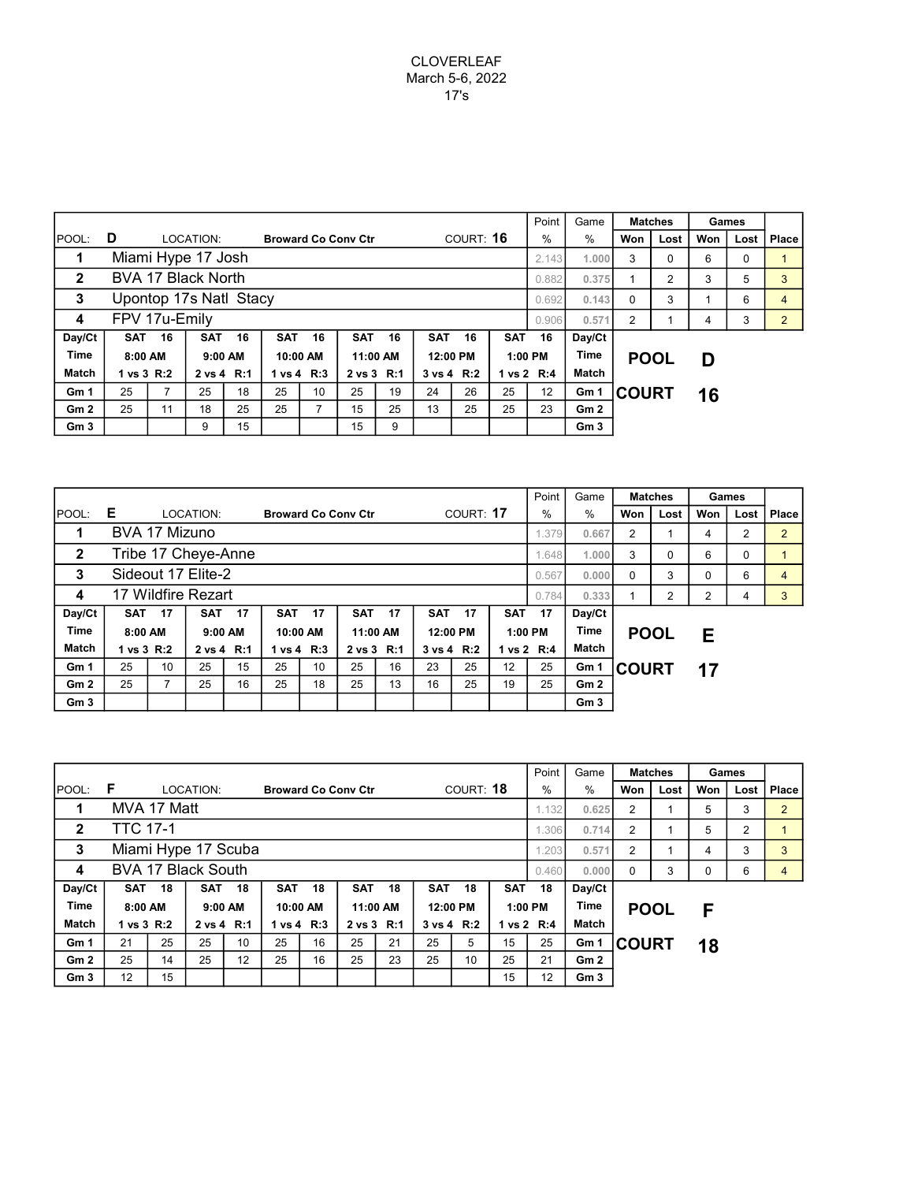|                 |                                 |                          |                    |    |            |                |                            |            |            |            |            | Point         | Game            |              | <b>Matches</b> | Games |      |                |
|-----------------|---------------------------------|--------------------------|--------------------|----|------------|----------------|----------------------------|------------|------------|------------|------------|---------------|-----------------|--------------|----------------|-------|------|----------------|
| IPOOL:          | D                               |                          | LOCATION:          |    |            |                | <b>Broward Co Conv Ctr</b> |            |            | COURT: 16  |            | $\frac{0}{0}$ | $\%$            | Won          | Lost           | Won   | Lost | Place          |
| 1               | Miami Hype 17 Josh              |                          |                    |    |            |                |                            |            |            |            |            | 2.143         | 1.000           | 3            | 0              | 6     | 0    |                |
| $\overline{2}$  |                                 |                          | BVA 17 Black North |    |            | 0.882          | 0.375                      |            | 2          | 3          | 5          | 3             |                 |              |                |       |      |                |
| 3               | Upontop 17s Natl Stacy<br>0.692 |                          |                    |    |            |                |                            |            |            |            |            |               |                 | 0.143<br>0   | 3              |       | 6    | 4              |
| 4               | FPV 17u-Emily                   |                          |                    |    |            |                |                            |            |            |            |            |               |                 | 0.571<br>2   |                | 4     | 3    | $\overline{2}$ |
| Day/Ct          | <b>SAT</b>                      | 16                       | <b>SAT</b>         | 16 | <b>SAT</b> | 16             | <b>SAT</b>                 | 16         | <b>SAT</b> | 16         | <b>SAT</b> | 16            | Day/Ct          |              |                |       |      |                |
| <b>Time</b>     | 8:00 AM                         |                          | $9:00$ AM          |    | 10:00 AM   |                | 11:00 AM                   |            | 12:00 PM   |            |            | $1:00$ PM     | Time            | <b>POOL</b>  |                | D     |      |                |
| Match           |                                 | 1 vs 3 R:2<br>2 vs 4 R:1 |                    |    | 1 vs 4 R:3 |                |                            | 2 vs 3 R:1 |            | 3 vs 4 R:2 |            | 1 vs 2 R:4    |                 |              |                |       |      |                |
| Gm 1            | 25                              | 7                        | 25                 | 18 | 25         | 10             | 25                         | 19         | 24         | 26         | 25         | 12            | Gm 1            | <b>COURT</b> |                | 16    |      |                |
| Gm2             | 25                              | 11                       | 18                 | 25 | 25         | $\overline{ }$ | 15                         | 25         | 13         | 25         | 25         | 23            | Gm2             |              |                |       |      |                |
| Gm <sub>3</sub> |                                 |                          | 9                  | 15 |            |                | 15                         | 9          |            |            |            |               | Gm <sub>3</sub> |              |                |       |      |                |

|                 |                             |                          |            |    |            |          |                            |          |            |            |            | Point      | Game            |              | <b>Matches</b> | Games          |          |                |
|-----------------|-----------------------------|--------------------------|------------|----|------------|----------|----------------------------|----------|------------|------------|------------|------------|-----------------|--------------|----------------|----------------|----------|----------------|
| <b>IPOOL:</b>   | Е                           |                          | LOCATION:  |    |            |          | <b>Broward Co Conv Ctr</b> |          |            | COURT: 17  |            | $\%$       | %               | Won          | Lost           | Won            | Lost     | Place          |
| 1               | BVA 17 Mizuno               |                          |            |    |            |          |                            |          |            |            |            | .379       | 0.667           | 2            |                | 4              | 2        | $\overline{2}$ |
| $\mathbf{2}$    | Tribe 17 Cheye-Anne         |                          |            |    |            |          |                            |          |            |            |            |            | 1.000           | 3            | 0              | 6              | $\Omega$ |                |
| 3               | Sideout 17 Elite-2<br>0.567 |                          |            |    |            |          |                            |          |            |            |            |            |                 | 0.000<br>0   | 3              | 0              | 6        | 4              |
| 4               | 17 Wildfire Rezart          |                          |            |    |            |          |                            |          |            |            |            |            | 0.333           |              | 2              | $\overline{2}$ | 4        | 3              |
| Day/Ct          | <b>SAT</b>                  | 17                       | <b>SAT</b> | 17 | <b>SAT</b> | 17       | <b>SAT</b>                 | 17       | <b>SAT</b> | 17         | <b>SAT</b> | 17         | Day/Ct          |              |                |                |          |                |
| <b>Time</b>     | 8:00 AM                     |                          | 9:00 AM    |    |            | 10:00 AM |                            | 11:00 AM |            | 12:00 PM   |            | $1:00$ PM  | <b>Time</b>     | <b>POOL</b>  |                | Е              |          |                |
| Match           |                             | 1 vs 3 R:2<br>2 vs 4 R:1 |            |    | 1 vs 4 R:3 |          | 2 vs 3 R:1                 |          |            | 3 vs 4 R:2 |            | 1 vs 2 R:4 | Match           |              |                |                |          |                |
| Gm 1            | 25                          | 10                       | 25         | 15 | 25         | 10       | 25                         | 16       | 23         | 25         | 25<br>12   |            | Gm 1            | <b>COURT</b> |                | 17             |          |                |
| Gm2             | 25                          |                          | 25         | 16 | 25         | 18       | 25                         | 13       | 16         | 25         | 19         | 25         | Gm <sub>2</sub> |              |                |                |          |                |
| Gm <sub>3</sub> |                             |                          |            |    |            |          |                            |          |            |            |            |            | Gm <sub>3</sub> |              |                |                |          |                |

|                 |                           |                          |           |                 |            |    |                            |    |            |           |            | Point      | Game            | <b>Matches</b>          |      | Games    |      |                |
|-----------------|---------------------------|--------------------------|-----------|-----------------|------------|----|----------------------------|----|------------|-----------|------------|------------|-----------------|-------------------------|------|----------|------|----------------|
| <b>IPOOL:</b>   | -F                        |                          | LOCATION: |                 |            |    | <b>Broward Co Conv Ctr</b> |    |            | COURT: 18 |            | %          | %               | Won                     | Lost | Won      | Lost | <b>Place</b>   |
| 1               | MVA 17 Matt               |                          |           |                 |            |    |                            |    |            |           |            | 1.132      | 0.625           | $\overline{2}$          |      | 5        | 3    | $\overline{2}$ |
| $\mathbf{2}$    | <b>TTC 17-1</b>           |                          |           |                 |            |    |                            |    |            |           |            |            |                 | 0.714<br>$\overline{2}$ |      | 5        | 2    |                |
| 3               | Miami Hype 17 Scuba       |                          |           |                 |            |    |                            |    |            |           |            |            |                 | 2                       |      | 4        | 3    | 3              |
| 4               | <b>BVA 17 Black South</b> |                          |           |                 |            |    |                            |    |            |           |            |            | 0.000           | $\Omega$                | 3    | $\Omega$ | 6    | 4              |
| Day/Ct          | <b>SAT</b>                | 18                       | SAT       | 18              | <b>SAT</b> | 18 | <b>SAT</b>                 | 18 | <b>SAT</b> | 18        | <b>SAT</b> | 18         | Day/Ct          |                         |      |          |      |                |
| <b>Time</b>     | 8:00 AM                   |                          | 9:00 AM   |                 | 10:00 AM   |    | 11:00 AM                   |    | 12:00 PM   |           |            | 1:00 PM    | Time            | <b>POOL</b>             |      | F        |      |                |
| <b>Match</b>    |                           | 1 vs 3 R:2<br>2 vs 4 R:1 |           |                 | 1 vs 4 R:3 |    | 2 vs 3 R:1                 |    | 3 vs 4 R:2 |           |            | 1 vs 2 R:4 |                 |                         |      |          |      |                |
| Gm <sub>1</sub> | 21                        | 25                       | 25        | 10              | 25         | 16 | 25                         | 21 | 25         | 5         | 15         | 25         | Gm 1            | <b>COURT</b>            |      | 18       |      |                |
| Gm2             | 25                        | 14                       | 25        | 12 <sup>2</sup> | 25         | 16 | 25                         | 23 | 25         | 10        | 25         | 21         | Gm2             |                         |      |          |      |                |
| Gm <sub>3</sub> | $12 \overline{ }$         | 15                       |           |                 |            |    |                            |    |            |           | 15         | 12         | Gm <sub>3</sub> |                         |      |          |      |                |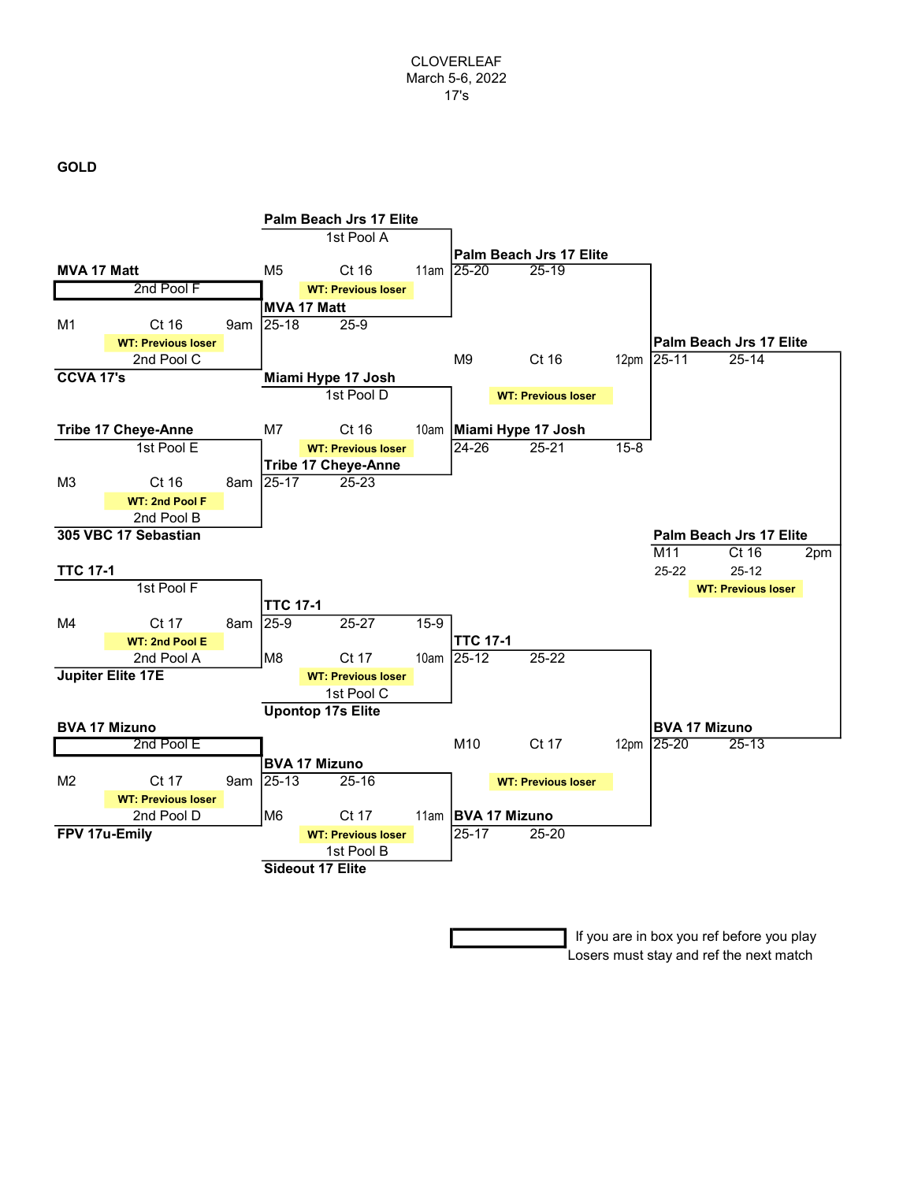## GOLD



 If you are in box you ref before you play Losers must stay and ref the next match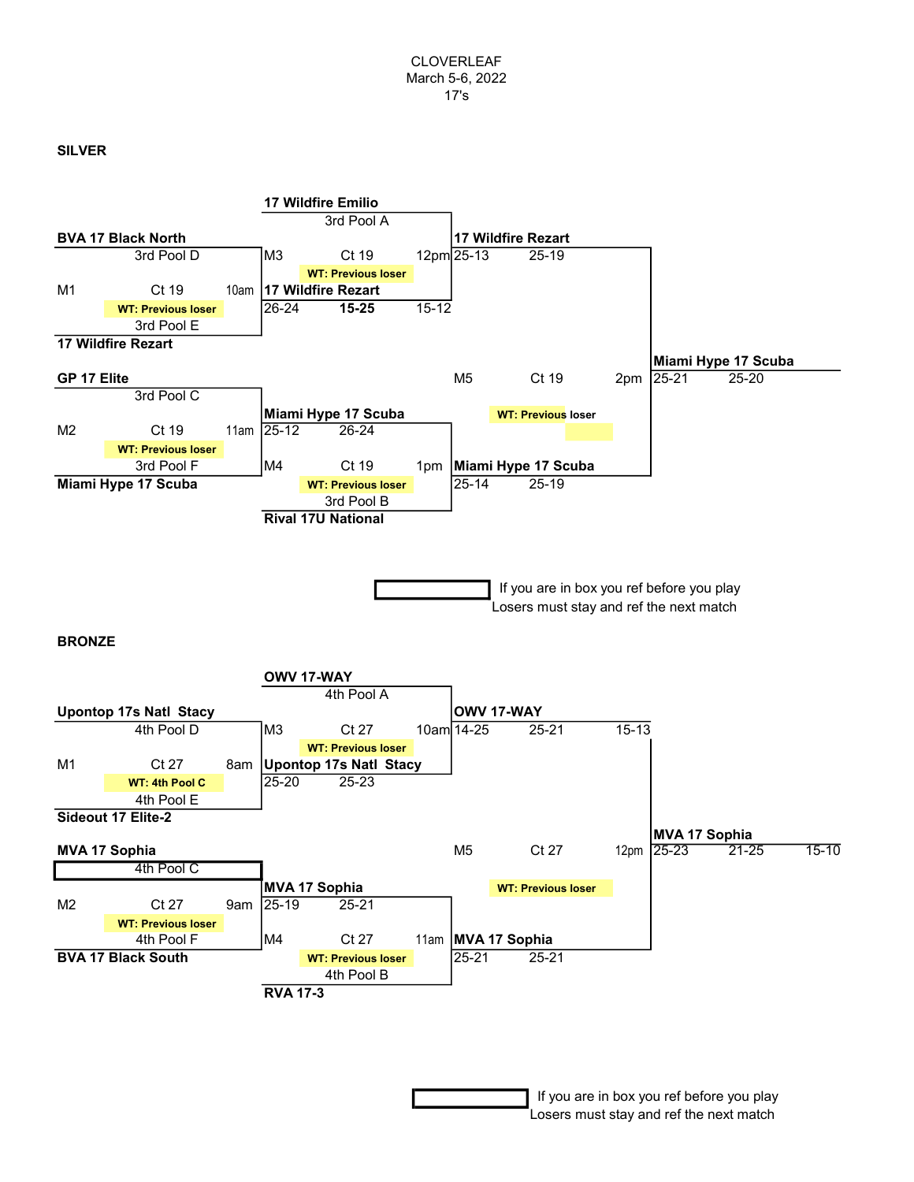## SILVER



 If you are in box you ref before you play Losers must stay and ref the next match